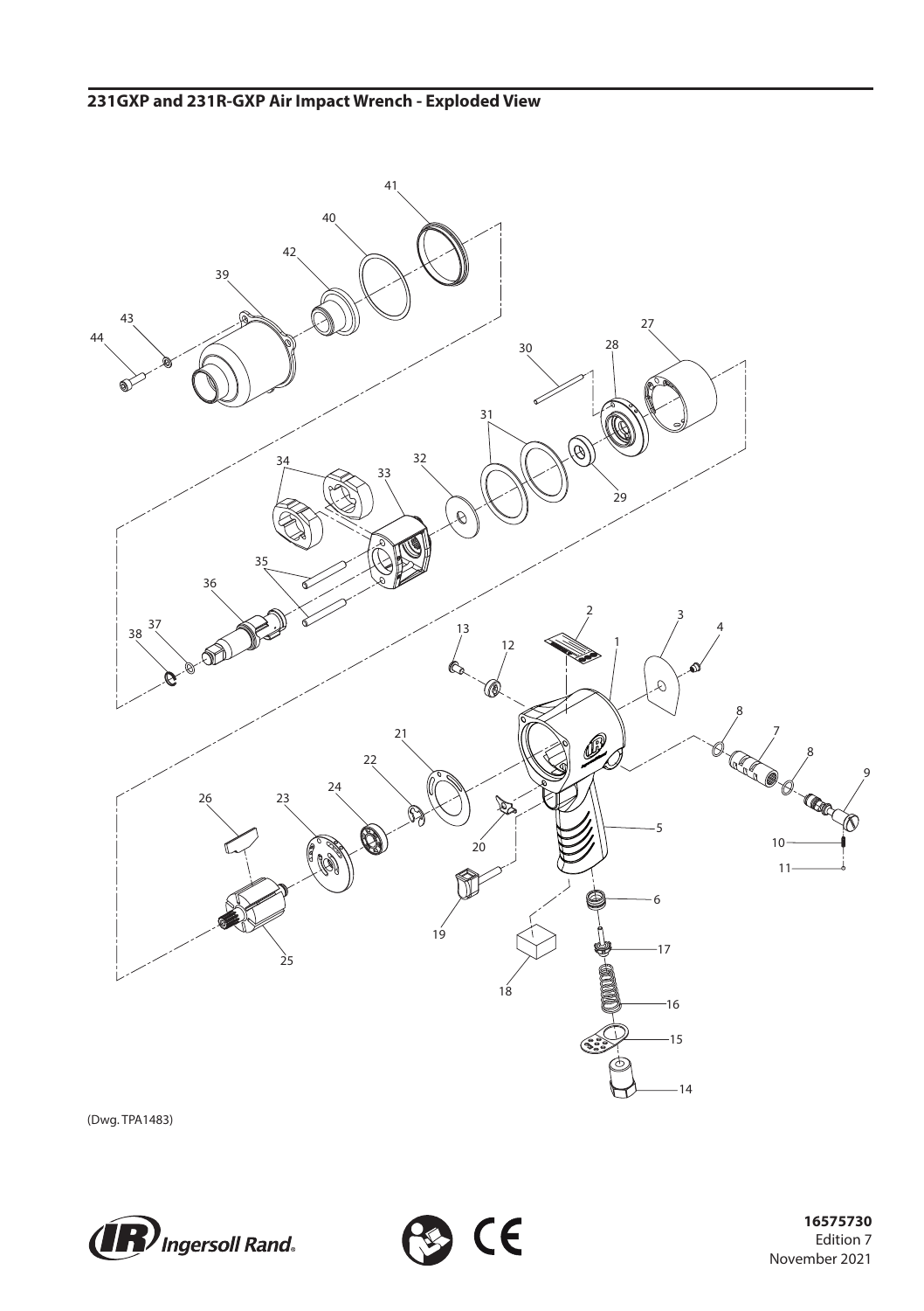

**B** CE

(Dwg. TPA1483)



 Edition 7 November 2021